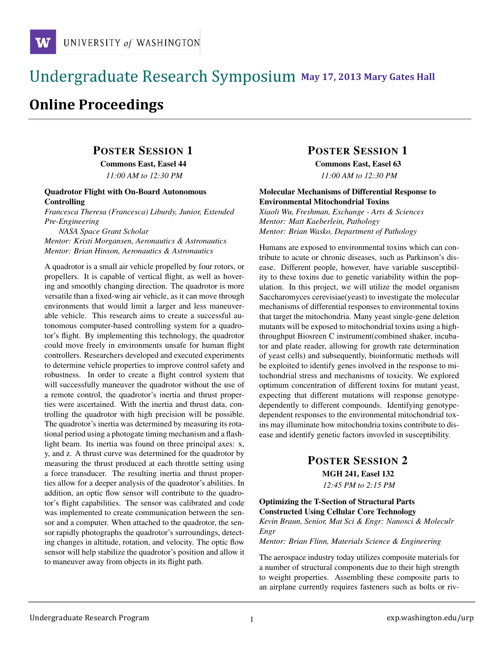# !!!!!!!!!!!!!!!!!!!!!!!!!!!!!!!!!!!!!!!!!!!!!!!!!!!!!!!!!!!!!!!!!!!!!!!!!!!!!!!!!!!!!!!!!!!!!!!!! **111 May 17, 2013 Mary Gates Hall** !!!!!!!!!!!!!!!!!!!!!!!!!!!!!!!!!!!!!!!!!!!!!!!!!!!!!!!!!!!!!!!!!!!!!!!!!!!!!!!!!!

# **Online Proceedings**

# POSTER SESSION 1 Commons East, Easel 44

*11:00 AM to 12:30 PM*

#### Quadrotor Flight with On-Board Autonomous Controlling

*Francesca Theresa (Francesca) Liburdy, Junior, Extended Pre-Engineering*

*NASA Space Grant Scholar Mentor: Kristi Morgansen, Aeronautics & Astronautics Mentor: Brian Hinson, Aeronautics & Astronautics*

A quadrotor is a small air vehicle propelled by four rotors, or propellers. It is capable of vertical flight, as well as hovering and smoothly changing direction. The quadrotor is more versatile than a fixed-wing air vehicle, as it can move through environments that would limit a larger and less maneuverable vehicle. This research aims to create a successful autonomous computer-based controlling system for a quadrotor's flight. By implementing this technology, the quadrotor could move freely in environments unsafe for human flight controllers. Researchers developed and executed experiments to determine vehicle properties to improve control safety and robustness. In order to create a flight control system that will successfully maneuver the quadrotor without the use of a remote control, the quadrotor's inertia and thrust properties were ascertained. With the inertia and thrust data, controlling the quadrotor with high precision will be possible. The quadrotor's inertia was determined by measuring its rotational period using a photogate timing mechanism and a flashlight beam. Its inertia was found on three principal axes: x, y, and z. A thrust curve was determined for the quadrotor by measuring the thrust produced at each throttle setting using a force transducer. The resulting inertia and thrust properties allow for a deeper analysis of the quadrotor's abilities. In addition, an optic flow sensor will contribute to the quadrotor's flight capabilities. The sensor was calibrated and code was implemented to create communication between the sensor and a computer. When attached to the quadrotor, the sensor rapidly photographs the quadrotor's surroundings, detecting changes in altitude, rotation, and velocity. The optic flow sensor will help stabilize the quadrotor's position and allow it to maneuver away from objects in its flight path.

# POSTER SESSION 1

Commons East, Easel 63 *11:00 AM to 12:30 PM*

#### Molecular Mechanisms of Differential Response to Environmental Mitochondrial Toxins

*Xiaoli Wu, Freshman, Exchange - Arts & Sciences Mentor: Matt Kaeberlein, Pathology Mentor: Brian Wasko, Department of Pathology*

Humans are exposed to environmental toxins which can contribute to acute or chronic diseases, such as Parkinson's disease. Different people, however, have variable susceptibility to these toxins due to genetic variability within the population. In this project, we will utilize the model organism Saccharomyces cerevisiae(yeast) to investigate the molecular mechanisms of differential responses to environmental toxins that target the mitochondria. Many yeast single-gene deletion mutants will be exposed to mitochondrial toxins using a highthroughput Biosreen C instrument(combined shaker, incubator and plate reader, allowing for growth rate determination of yeast cells) and subsequently, bioinformatic methods will be exploited to identify genes involved in the response to mitochondrial stress and mechanisms of toxicity. We explored optimum concentration of different toxins for mutant yeast, expecting that different mutations will response genotypedependently to different compounds. Identifying genotypedependent responses to the environmental mitochondrial toxins may illuminate how mitochondria toxins contribute to disease and identify genetic factors invovled in susceptibility.

# POSTER SESSION 2

### MGH 241, Easel 132

*12:45 PM to 2:15 PM*

#### Optimizing the T-Section of Structural Parts Constructed Using Cellular Core Technology

*Kevin Braun, Senior, Mat Sci & Engr: Nanosci & Moleculr Engr*

*Mentor: Brian Flinn, Materials Science & Engineering*

The aerospace industry today utilizes composite materials for a number of structural components due to their high strength to weight properties. Assembling these composite parts to an airplane currently requires fasteners such as bolts or riv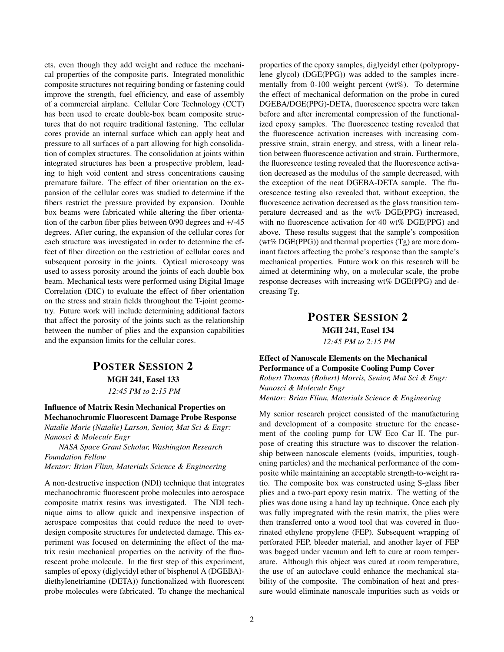ets, even though they add weight and reduce the mechanical properties of the composite parts. Integrated monolithic composite structures not requiring bonding or fastening could improve the strength, fuel efficiency, and ease of assembly of a commercial airplane. Cellular Core Technology (CCT) has been used to create double-box beam composite structures that do not require traditional fastening. The cellular cores provide an internal surface which can apply heat and pressure to all surfaces of a part allowing for high consolidation of complex structures. The consolidation at joints within integrated structures has been a prospective problem, leading to high void content and stress concentrations causing premature failure. The effect of fiber orientation on the expansion of the cellular cores was studied to determine if the fibers restrict the pressure provided by expansion. Double box beams were fabricated while altering the fiber orientation of the carbon fiber plies between 0/90 degrees and +/-45 degrees. After curing, the expansion of the cellular cores for each structure was investigated in order to determine the effect of fiber direction on the restriction of cellular cores and subsequent porosity in the joints. Optical microscopy was used to assess porosity around the joints of each double box beam. Mechanical tests were performed using Digital Image Correlation (DIC) to evaluate the effect of fiber orientation on the stress and strain fields throughout the T-joint geometry. Future work will include determining additional factors that affect the porosity of the joints such as the relationship between the number of plies and the expansion capabilities and the expansion limits for the cellular cores.

# POSTER SESSION 2 MGH 241, Easel 133 *12:45 PM to 2:15 PM*

Influence of Matrix Resin Mechanical Properties on Mechanochromic Fluorescent Damage Probe Response *Natalie Marie (Natalie) Larson, Senior, Mat Sci & Engr: Nanosci & Moleculr Engr*

*NASA Space Grant Scholar, Washington Research Foundation Fellow*

*Mentor: Brian Flinn, Materials Science & Engineering*

A non-destructive inspection (NDI) technique that integrates mechanochromic fluorescent probe molecules into aerospace composite matrix resins was investigated. The NDI technique aims to allow quick and inexpensive inspection of aerospace composites that could reduce the need to overdesign composite structures for undetected damage. This experiment was focused on determining the effect of the matrix resin mechanical properties on the activity of the fluorescent probe molecule. In the first step of this experiment, samples of epoxy (diglycidyl ether of bisphenol A (DGEBA) diethylenetriamine (DETA)) functionalized with fluorescent probe molecules were fabricated. To change the mechanical properties of the epoxy samples, diglycidyl ether (polypropylene glycol) (DGE(PPG)) was added to the samples incrementally from 0-100 weight percent (wt%). To determine the effect of mechanical deformation on the probe in cured DGEBA/DGE(PPG)-DETA, fluorescence spectra were taken before and after incremental compression of the functionalized epoxy samples. The fluorescence testing revealed that the fluorescence activation increases with increasing compressive strain, strain energy, and stress, with a linear relation between fluorescence activation and strain. Furthermore, the fluorescence testing revealed that the fluorescence activation decreased as the modulus of the sample decreased, with the exception of the neat DGEBA-DETA sample. The fluorescence testing also revealed that, without exception, the fluorescence activation decreased as the glass transition temperature decreased and as the wt% DGE(PPG) increased, with no fluorescence activation for 40 wt% DGE(PPG) and above. These results suggest that the sample's composition (wt% DGE(PPG)) and thermal properties (Tg) are more dominant factors affecting the probe's response than the sample's mechanical properties. Future work on this research will be aimed at determining why, on a molecular scale, the probe response decreases with increasing wt% DGE(PPG) and decreasing Tg.

### POSTER SESSION 2 MGH 241, Easel 134 *12:45 PM to 2:15 PM*

Effect of Nanoscale Elements on the Mechanical Performance of a Composite Cooling Pump Cover *Robert Thomas (Robert) Morris, Senior, Mat Sci & Engr: Nanosci & Moleculr Engr Mentor: Brian Flinn, Materials Science & Engineering*

My senior research project consisted of the manufacturing and development of a composite structure for the encasement of the cooling pump for UW Eco Car II. The purpose of creating this structure was to discover the relationship between nanoscale elements (voids, impurities, toughening particles) and the mechanical performance of the composite while maintaining an acceptable strength-to-weight ratio. The composite box was constructed using S-glass fiber plies and a two-part epoxy resin matrix. The wetting of the plies was done using a hand lay up technique. Once each ply was fully impregnated with the resin matrix, the plies were then transferred onto a wood tool that was covered in fluorinated ethylene propylene (FEP). Subsequent wrapping of perforated FEP, bleeder material, and another layer of FEP was bagged under vacuum and left to cure at room temperature. Although this object was cured at room temperature, the use of an autoclave could enhance the mechanical stability of the composite. The combination of heat and pressure would eliminate nanoscale impurities such as voids or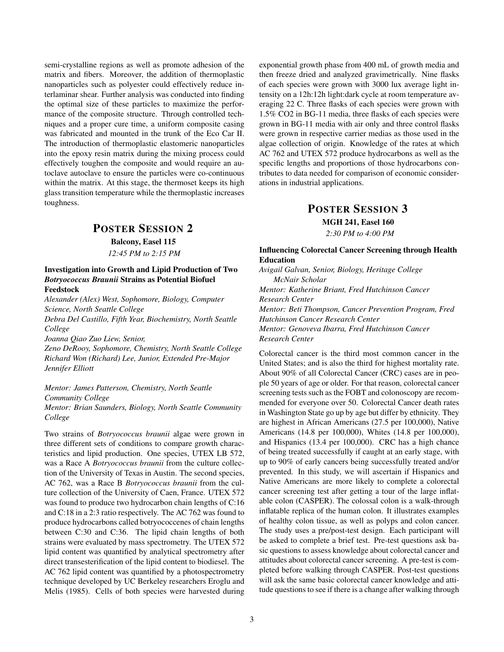semi-crystalline regions as well as promote adhesion of the matrix and fibers. Moreover, the addition of thermoplastic nanoparticles such as polyester could effectively reduce interlaminar shear. Further analysis was conducted into finding the optimal size of these particles to maximize the performance of the composite structure. Through controlled techniques and a proper cure time, a uniform composite casing was fabricated and mounted in the trunk of the Eco Car II. The introduction of thermoplastic elastomeric nanoparticles into the epoxy resin matrix during the mixing process could effectively toughen the composite and would require an autoclave autoclave to ensure the particles were co-continuous within the matrix. At this stage, the thermoset keeps its high glass transition temperature while the thermoplastic increases toughness.

### POSTER SESSION 2

Balcony, Easel 115 *12:45 PM to 2:15 PM*

#### Investigation into Growth and Lipid Production of Two *Botryococcus Braunii* Strains as Potential Biofuel Feedstock

*Alexander (Alex) West, Sophomore, Biology, Computer Science, North Seattle College*

*Debra Del Castillo, Fifth Year, Biochemistry, North Seattle College*

*Joanna Qiao Zuo Liew, Senior,*

*Zeno DeRooy, Sophomore, Chemistry, North Seattle College Richard Won (Richard) Lee, Junior, Extended Pre-Major Jennifer Elliott*

*Mentor: James Patterson, Chemistry, North Seattle Community College Mentor: Brian Saunders, Biology, North Seattle Community College*

Two strains of *Botryococcus braunii* algae were grown in three different sets of conditions to compare growth characteristics and lipid production. One species, UTEX LB 572, was a Race A *Botryococcus braunii* from the culture collection of the University of Texas in Austin. The second species, AC 762, was a Race B *Botryococcus braunii* from the culture collection of the University of Caen, France. UTEX 572 was found to produce two hydrocarbon chain lengths of C:16 and C:18 in a 2:3 ratio respectively. The AC 762 was found to produce hydrocarbons called botryococcenes of chain lengths between C:30 and C:36. The lipid chain lengths of both strains were evaluated by mass spectrometry. The UTEX 572 lipid content was quantified by analytical spectrometry after direct transesterification of the lipid content to biodiesel. The AC 762 lipid content was quantified by a photospectrometry technique developed by UC Berkeley researchers Eroglu and Melis (1985). Cells of both species were harvested during exponential growth phase from 400 mL of growth media and then freeze dried and analyzed gravimetrically. Nine flasks of each species were grown with 3000 lux average light intensity on a 12h:12h light:dark cycle at room temperature averaging 22 C. Three flasks of each species were grown with 1.5% CO2 in BG-11 media, three flasks of each species were grown in BG-11 media with air only and three control flasks were grown in respective carrier medias as those used in the algae collection of origin. Knowledge of the rates at which AC 762 and UTEX 572 produce hydrocarbons as well as the specific lengths and proportions of those hydrocarbons contributes to data needed for comparison of economic considerations in industrial applications.

# POSTER SESSION 3 MGH 241, Easel 160

*2:30 PM to 4:00 PM*

#### Influencing Colorectal Cancer Screening through Health Education

*Avigail Galvan, Senior, Biology, Heritage College McNair Scholar Mentor: Katherine Briant, Fred Hutchinson Cancer Research Center Mentor: Beti Thompson, Cancer Prevention Program, Fred Hutchinson Cancer Research Center Mentor: Genoveva Ibarra, Fred Hutchinson Cancer Research Center*

Colorectal cancer is the third most common cancer in the United States; and is also the third for highest mortality rate. About 90% of all Colorectal Cancer (CRC) cases are in people 50 years of age or older. For that reason, colorectal cancer screening tests such as the FOBT and colonoscopy are recommended for everyone over 50. Colorectal Cancer death rates in Washington State go up by age but differ by ethnicity. They are highest in African Americans (27.5 per 100,000), Native Americans (14.8 per 100,000), Whites (14.8 per 100,000), and Hispanics (13.4 per 100,000). CRC has a high chance of being treated successfully if caught at an early stage, with up to 90% of early cancers being successfully treated and/or prevented. In this study, we will ascertain if Hispanics and Native Americans are more likely to complete a colorectal cancer screening test after getting a tour of the large inflatable colon (CASPER). The colossal colon is a walk-through inflatable replica of the human colon. It illustrates examples of healthy colon tissue, as well as polyps and colon cancer. The study uses a pre/post-test design. Each participant will be asked to complete a brief test. Pre-test questions ask basic questions to assess knowledge about colorectal cancer and attitudes about colorectal cancer screening. A pre-test is completed before walking through CASPER. Post-test questions will ask the same basic colorectal cancer knowledge and attitude questions to see if there is a change after walking through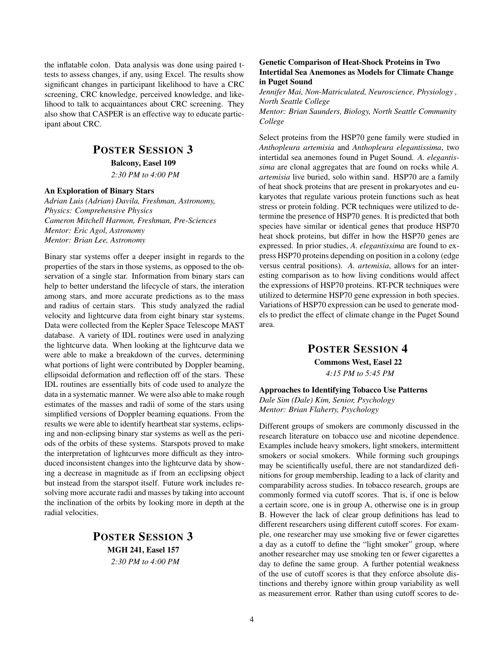the inflatable colon. Data analysis was done using paired ttests to assess changes, if any, using Excel. The results show significant changes in participant likelihood to have a CRC screening, CRC knowledge, perceived knowledge, and likelihood to talk to acquaintances about CRC screening. They also show that CASPER is an effective way to educate participant about CRC.

# POSTER SESSION 3

Balcony, Easel 109

*2:30 PM to 4:00 PM*

#### An Exploration of Binary Stars

*Adrian Luis (Adrian) Davila, Freshman, Astronomy, Physics: Comprehensive Physics Cameron Mitchell Harmon, Freshman, Pre-Sciences Mentor: Eric Agol, Astronomy Mentor: Brian Lee, Astronomy*

Binary star systems offer a deeper insight in regards to the properties of the stars in those systems, as opposed to the observation of a single star. Information from binary stars can help to better understand the lifecycle of stars, the interation among stars, and more accurate predictions as to the mass and radius of certain stars. This study analyzed the radial velocity and lightcurve data from eight binary star systems. Data were collected from the Kepler Space Telescope MAST database. A variety of IDL routines were used in analyzing the lightcurve data. When looking at the lightcurve data we were able to make a breakdown of the curves, determining what portions of light were contributed by Doppler beaming, ellipsoidal deformation and reflection off of the stars. These IDL routines are essentially bits of code used to analyze the data in a systematic manner. We were also able to make rough estimates of the masses and radii of some of the stars using simplified versions of Doppler beaming equations. From the results we were able to identify heartbeat star systems, eclipsing and non-eclipsing binary star systems as well as the periods of the orbits of these systems. Starspots proved to make the interpretation of lightcurves more difficult as they introduced inconsistent changes into the lightcurve data by showing a decrease in magnitude as if from an ecclipsing object but instead from the starspot itself. Future work includes resolving more accurate radii and masses by taking into account the inclination of the orbits by looking more in depth at the radial velocities.

> POSTER SESSION 3 MGH 241, Easel 157 *2:30 PM to 4:00 PM*

#### Genetic Comparison of Heat-Shock Proteins in Two Intertidal Sea Anemones as Models for Climate Change in Puget Sound

*Jennifer Mai, Non-Matriculated, Neuroscience, Physiology , North Seattle College*

*Mentor: Brian Saunders, Biology, North Seattle Community College*

Select proteins from the HSP70 gene family were studied in *Anthopleura artemisia* and *Anthopleura elegantissima*, two intertidal sea anemones found in Puget Sound. *A. elegantissima* are clonal aggregates that are found on rocks while *A. artemisia* live buried, solo within sand. HSP70 are a family of heat shock proteins that are present in prokaryotes and eukaryotes that regulate various protein functions such as heat stress or protein folding. PCR techniques were utilized to determine the presence of HSP70 genes. It is predicted that both species have similar or identical genes that produce HSP70 heat shock proteins, but differ in how the HSP70 genes are expressed. In prior studies, *A. elegantissima* are found to express HSP70 proteins depending on position in a colony (edge versus central positions). *A. artemisia*, allows for an interesting comparison as to how living conditions would affect the expressions of HSP70 proteins. RT-PCR techniques were utilized to determine HSP70 gene expression in both species. Variations of HSP70 expression can be used to generate models to predict the effect of climate change in the Puget Sound area.

### POSTER SESSION 4

Commons West, Easel 22 *4:15 PM to 5:45 PM*

#### Approaches to Identifying Tobacco Use Patterns *Dale Sim (Dale) Kim, Senior, Psychology Mentor: Brian Flaherty, Psychology*

Different groups of smokers are commonly discussed in the research literature on tobacco use and nicotine dependence. Examples include heavy smokers, light smokers, intermittent smokers or social smokers. While forming such groupings may be scientifically useful, there are not standardized definitions for group membership, leading to a lack of clarity and comparability across studies. In tobacco research, groups are commonly formed via cutoff scores. That is, if one is below a certain score, one is in group A, otherwise one is in group B. However the lack of clear group definitions has lead to different researchers using different cutoff scores. For example, one researcher may use smoking five or fewer cigarettes a day as a cutoff to define the "light smoker" group, where another researcher may use smoking ten or fewer cigarettes a day to define the same group. A further potential weakness of the use of cutoff scores is that they enforce absolute distinctions and thereby ignore within group variability as well as measurement error. Rather than using cutoff scores to de